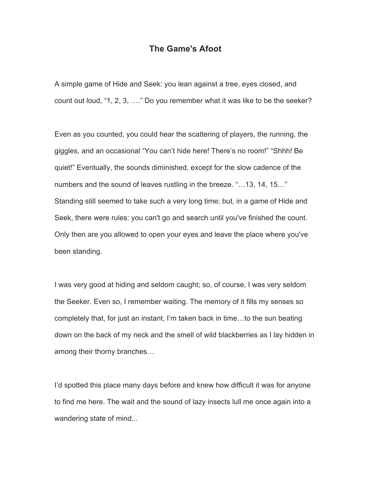## **The Game's Afoot**

A simple game of Hide and Seek: you lean against a tree, eyes closed, and count out loud, "1, 2, 3, …." Do you remember what it was like to be the seeker?

Even as you counted, you could hear the scattering of players, the running, the giggles, and an occasional "You can't hide here! There's no room!" "Shhh! Be quiet!" Eventually, the sounds diminished, except for the slow cadence of the numbers and the sound of leaves rustling in the breeze. "…13, 14, 15…" Standing still seemed to take such a very long time; but, in a game of Hide and Seek, there were rules: you can't go and search until you've finished the count. Only then are you allowed to open your eyes and leave the place where you've been standing.

I was very good at hiding and seldom caught; so, of course, I was very seldom the Seeker. Even so, I remember waiting. The memory of it fills my senses so completely that, for just an instant, I'm taken back in time…to the sun beating down on the back of my neck and the smell of wild blackberries as I lay hidden in among their thorny branches…

I'd spotted this place many days before and knew how difficult it was for anyone to find me here. The wait and the sound of lazy insects lull me once again into a wandering state of mind...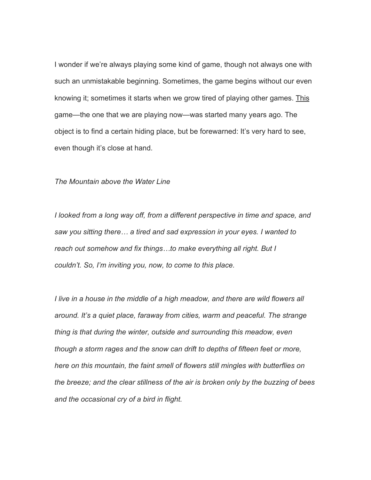I wonder if we're always playing some kind of game, though not always one with such an unmistakable beginning. Sometimes, the game begins without our even knowing it; sometimes it starts when we grow tired of playing other games. This game—the one that we are playing now—was started many years ago. The object is to find a certain hiding place, but be forewarned: It's very hard to see, even though it's close at hand.

## *The Mountain above the Water Line*

*I looked from a long way off, from a different perspective in time and space, and saw you sitting there… a tired and sad expression in your eyes. I wanted to reach out somehow and fix things…to make everything all right. But I couldn't. So, I'm inviting you, now, to come to this place.*

*I live in a house in the middle of a high meadow, and there are wild flowers all around. It's a quiet place, faraway from cities, warm and peaceful. The strange thing is that during the winter, outside and surrounding this meadow, even though a storm rages and the snow can drift to depths of fifteen feet or more, here on this mountain, the faint smell of flowers still mingles with butterflies on the breeze; and the clear stillness of the air is broken only by the buzzing of bees and the occasional cry of a bird in flight.*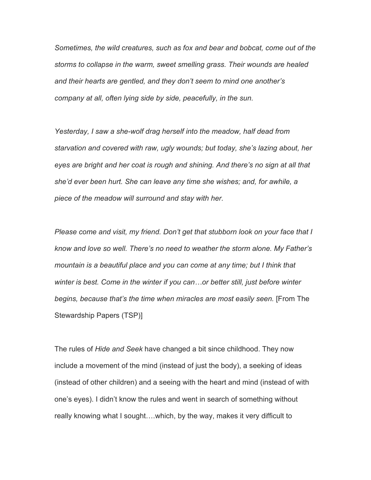*Sometimes, the wild creatures, such as fox and bear and bobcat, come out of the storms to collapse in the warm, sweet smelling grass. Their wounds are healed and their hearts are gentled, and they don't seem to mind one another's company at all, often lying side by side, peacefully, in the sun.*

*Yesterday, I saw a she-wolf drag herself into the meadow, half dead from starvation and covered with raw, ugly wounds; but today, she's lazing about, her eyes are bright and her coat is rough and shining. And there's no sign at all that she'd ever been hurt. She can leave any time she wishes; and, for awhile, a piece of the meadow will surround and stay with her.*

*Please come and visit, my friend. Don't get that stubborn look on your face that I know and love so well. There's no need to weather the storm alone. My Father's mountain is a beautiful place and you can come at any time; but I think that winter is best. Come in the winter if you can…or better still, just before winter begins, because that's the time when miracles are most easily seen.* [From The Stewardship Papers (TSP)]

The rules of *Hide and Seek* have changed a bit since childhood. They now include a movement of the mind (instead of just the body), a seeking of ideas (instead of other children) and a seeing with the heart and mind (instead of with one's eyes). I didn't know the rules and went in search of something without really knowing what I sought….which, by the way, makes it very difficult to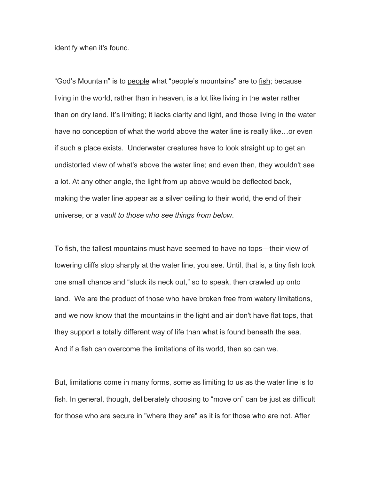identify when it's found.

"God's Mountain" is to people what "people's mountains" are to fish; because living in the world, rather than in heaven, is a lot like living in the water rather than on dry land. It's limiting; it lacks clarity and light, and those living in the water have no conception of what the world above the water line is really like…or even if such a place exists. Underwater creatures have to look straight up to get an undistorted view of what's above the water line; and even then, they wouldn't see a lot. At any other angle, the light from up above would be deflected back, making the water line appear as a silver ceiling to their world, the end of their universe, or a *vault to those who see things from below*.

To fish, the tallest mountains must have seemed to have no tops—their view of towering cliffs stop sharply at the water line, you see. Until, that is, a tiny fish took one small chance and "stuck its neck out," so to speak, then crawled up onto land. We are the product of those who have broken free from watery limitations, and we now know that the mountains in the light and air don't have flat tops, that they support a totally different way of life than what is found beneath the sea. And if a fish can overcome the limitations of its world, then so can we.

But, limitations come in many forms, some as limiting to us as the water line is to fish. In general, though, deliberately choosing to "move on" can be just as difficult for those who are secure in "where they are" as it is for those who are not. After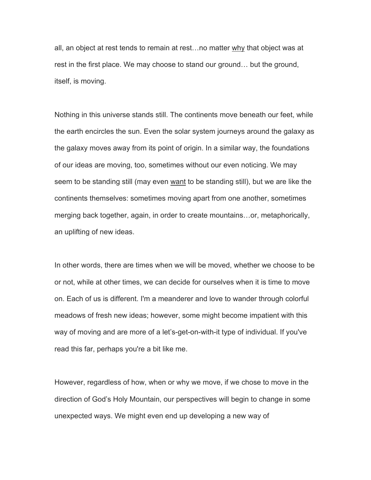all, an object at rest tends to remain at rest…no matter why that object was at rest in the first place. We may choose to stand our ground… but the ground, itself, is moving.

Nothing in this universe stands still. The continents move beneath our feet, while the earth encircles the sun. Even the solar system journeys around the galaxy as the galaxy moves away from its point of origin. In a similar way, the foundations of our ideas are moving, too, sometimes without our even noticing. We may seem to be standing still (may even want to be standing still), but we are like the continents themselves: sometimes moving apart from one another, sometimes merging back together, again, in order to create mountains…or, metaphorically, an uplifting of new ideas.

In other words, there are times when we will be moved, whether we choose to be or not, while at other times, we can decide for ourselves when it is time to move on. Each of us is different. I'm a meanderer and love to wander through colorful meadows of fresh new ideas; however, some might become impatient with this way of moving and are more of a let's-get-on-with-it type of individual. If you've read this far, perhaps you're a bit like me.

However, regardless of how, when or why we move, if we chose to move in the direction of God's Holy Mountain, our perspectives will begin to change in some unexpected ways. We might even end up developing a new way of